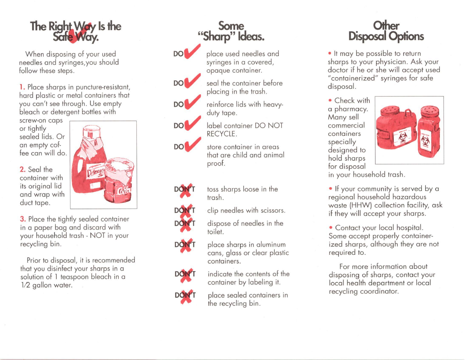

When disposing of your used needles and syringes,you should follow these steps.

1. Place sharps in puncture-resistant, hard plastic or metal containers that you can't see through. Use empty bleach or detergent bottles with

screw-on caps or tightly sealed lids. Or an empty coffee can will do.

2. Seal the container with **its original lid** and wrap with duct tape.



**3.** Place the tightly sealed container in a paper bag and discard with your household trash- NOT in your recycling bin.

Prior to disposal, it is recommended that you disinfect your sharps in a solution of 1 teaspoon bleach in a 1/2 gallon water.

## Some "Sharp" Ideas. place used needles and

duty tape.

RECYCLE.

proof.

trash.

toilet.

containers.

syringes in a covered,

reinforce lids with heavy-

label container DO NOT

**store container in areas** that are child and animal

toss sharps loose in the

clip needles with scissors.

dispose of needles in the

place sharps in aluminum cans, glass or clear plastic



opaque container. seal the container before **DO** placing in the trash.





**DO** 













container by labeling it.

indicate the contents of the

place sealed containers in the recycling bin.

## **Disposal Options**

• It may be possible to return sharps to your physician. Ask your doctor if he or she will accept used "containerized" syringes for safe disposal.

• Check with a pharmacy. Many sell commercial containers specially designed to hold sharps for disposal



in your household trash.

• If your community is served by a regional household hazardous waste (HHW) collection facility, ask if they will accept your sharps.

• Contact your local hospital. Some accept properly containerized sharps, although they are not required to.

For more information about disposing of sharps, contact your local health department or local recycling coordinator.